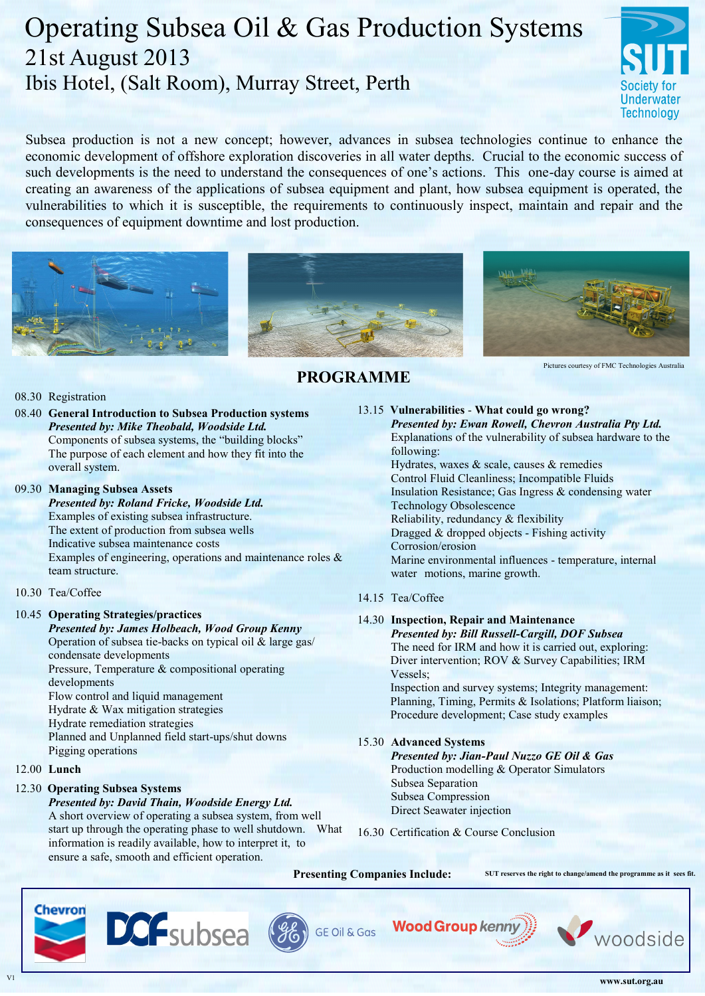# Operating Subsea Oil & Gas Production Systems 21st August 2013 Ibis Hotel, (Salt Room), Murray Street, Perth



Subsea production is not a new concept; however, advances in subsea technologies continue to enhance the economic development of offshore exploration discoveries in all water depths. Crucial to the economic success of such developments is the need to understand the consequences of one's actions. This one-day course is aimed at creating an awareness of the applications of subsea equipment and plant, how subsea equipment is operated, the vulnerabilities to which it is susceptible, the requirements to continuously inspect, maintain and repair and the consequences of equipment downtime and lost production.





 **PROGRAMME**



Pictures courtesy of FMC Technologies Australia

#### 08.30 Registration

08.40 **General Introduction to Subsea Production systems** *Presented by: Mike Theobald, Woodside Ltd.* Components of subsea systems, the "building blocks" The purpose of each element and how they fit into the overall system.

#### 09.30 **Managing Subsea Assets**

#### *Presented by: Roland Fricke, Woodside Ltd.* Examples of existing subsea infrastructure. The extent of production from subsea wells Indicative subsea maintenance costs Examples of engineering, operations and maintenance roles & team structure.

## 10.30 Tea/Coffee

## 10.45 **Operating Strategies/practices**

*Presented by: James Holbeach, Wood Group Kenny* Operation of subsea tie-backs on typical oil & large gas/ condensate developments

Pressure, Temperature & compositional operating developments Flow control and liquid management Hydrate & Wax mitigation strategies

Hydrate remediation strategies

Planned and Unplanned field start-ups/shut downs Pigging operations

## 12.00 **Lunch**

## 12.30 **Operating Subsea Systems**

*Presented by: David Thain, Woodside Energy Ltd.* A short overview of operating a subsea system, from well start up through the operating phase to well shutdown. What information is readily available, how to interpret it, to ensure a safe, smooth and efficient operation.

# 13.15 **Vulnerabilities** - **What could go wrong?**

*Presented by: Ewan Rowell, Chevron Australia Pty Ltd.* Explanations of the vulnerability of subsea hardware to the following: Hydrates, waxes & scale, causes & remedies Control Fluid Cleanliness; Incompatible Fluids

Insulation Resistance; Gas Ingress & condensing water Technology Obsolescence Reliability, redundancy & flexibility Dragged & dropped objects - Fishing activity Corrosion/erosion Marine environmental influences - temperature, internal water motions, marine growth.

## 14.15 Tea/Coffee

## 14.30 **Inspection, Repair and Maintenance**

*Presented by: Bill Russell-Cargill, DOF Subsea* The need for IRM and how it is carried out, exploring: Diver intervention; ROV & Survey Capabilities; IRM Vessels;

Inspection and survey systems; Integrity management: Planning, Timing, Permits & Isolations; Platform liaison; Procedure development; Case study examples

## 15.30 **Advanced Systems**

*Presented by: Jian-Paul Nuzzo GE Oil & Gas* Production modelling & Operator Simulators Subsea Separation Subsea Compression Direct Seawater injection

16.30 Certification & Course Conclusion

**Presenting Companies Include: SUT reserves the right to change/amend the programme as it sees fit.** 









woodside